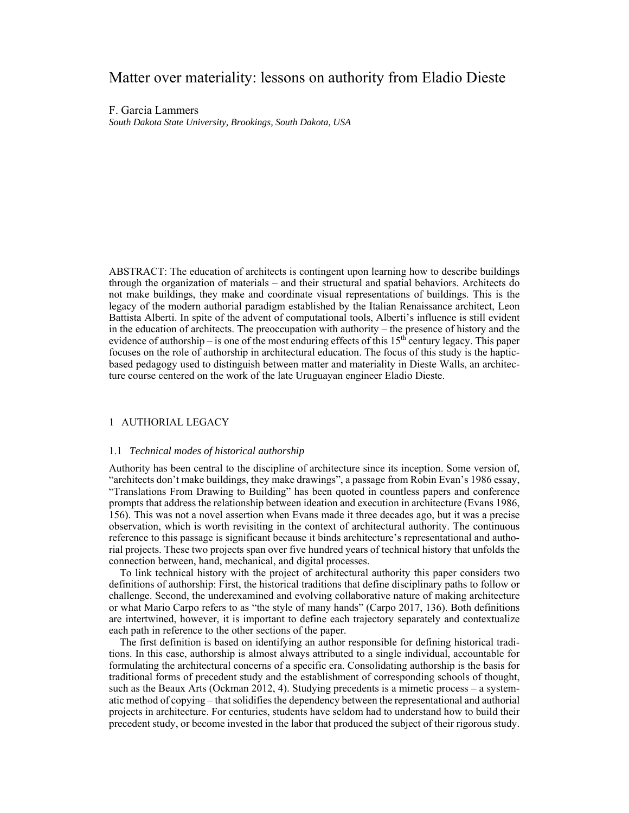# Matter over materiality: lessons on authority from Eladio Dieste

F. Garcia Lammers *South Dakota State University, Brookings, South Dakota, USA* 

ABSTRACT: The education of architects is contingent upon learning how to describe buildings through the organization of materials – and their structural and spatial behaviors. Architects do not make buildings, they make and coordinate visual representations of buildings. This is the legacy of the modern authorial paradigm established by the Italian Renaissance architect, Leon Battista Alberti. In spite of the advent of computational tools, Alberti's influence is still evident in the education of architects. The preoccupation with authority – the presence of history and the evidence of authorship – is one of the most enduring effects of this  $15<sup>th</sup>$  century legacy. This paper focuses on the role of authorship in architectural education. The focus of this study is the hapticbased pedagogy used to distinguish between matter and materiality in Dieste Walls, an architecture course centered on the work of the late Uruguayan engineer Eladio Dieste.

## 1 AUTHORIAL LEGACY

## 1.1 *Technical modes of historical authorship*

Authority has been central to the discipline of architecture since its inception. Some version of, "architects don't make buildings, they make drawings", a passage from Robin Evan's 1986 essay, "Translations From Drawing to Building" has been quoted in countless papers and conference prompts that address the relationship between ideation and execution in architecture (Evans 1986, 156). This was not a novel assertion when Evans made it three decades ago, but it was a precise observation, which is worth revisiting in the context of architectural authority. The continuous reference to this passage is significant because it binds architecture's representational and authorial projects. These two projects span over five hundred years of technical history that unfolds the connection between, hand, mechanical, and digital processes.

To link technical history with the project of architectural authority this paper considers two definitions of authorship: First, the historical traditions that define disciplinary paths to follow or challenge. Second, the underexamined and evolving collaborative nature of making architecture or what Mario Carpo refers to as "the style of many hands" (Carpo 2017, 136). Both definitions are intertwined, however, it is important to define each trajectory separately and contextualize each path in reference to the other sections of the paper.

The first definition is based on identifying an author responsible for defining historical traditions. In this case, authorship is almost always attributed to a single individual, accountable for formulating the architectural concerns of a specific era. Consolidating authorship is the basis for traditional forms of precedent study and the establishment of corresponding schools of thought, such as the Beaux Arts (Ockman 2012, 4). Studying precedents is a mimetic process – a systematic method of copying – that solidifies the dependency between the representational and authorial projects in architecture. For centuries, students have seldom had to understand how to build their precedent study, or become invested in the labor that produced the subject of their rigorous study.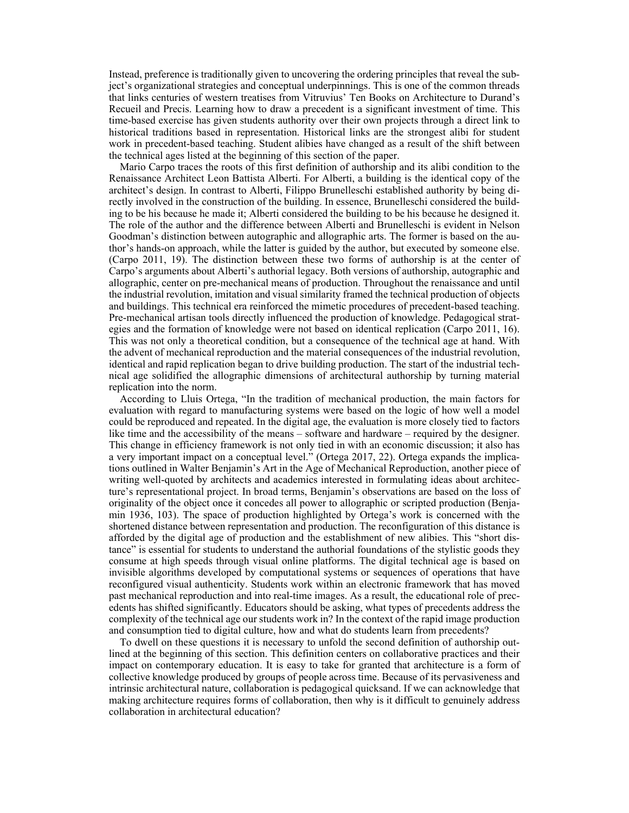Instead, preference is traditionally given to uncovering the ordering principles that reveal the subject's organizational strategies and conceptual underpinnings. This is one of the common threads that links centuries of western treatises from Vitruvius' Ten Books on Architecture to Durand's Recueil and Precis. Learning how to draw a precedent is a significant investment of time. This time-based exercise has given students authority over their own projects through a direct link to historical traditions based in representation. Historical links are the strongest alibi for student work in precedent-based teaching. Student alibies have changed as a result of the shift between the technical ages listed at the beginning of this section of the paper.

Mario Carpo traces the roots of this first definition of authorship and its alibi condition to the Renaissance Architect Leon Battista Alberti. For Alberti, a building is the identical copy of the architect's design. In contrast to Alberti, Filippo Brunelleschi established authority by being directly involved in the construction of the building. In essence, Brunelleschi considered the building to be his because he made it; Alberti considered the building to be his because he designed it. The role of the author and the difference between Alberti and Brunelleschi is evident in Nelson Goodman's distinction between autographic and allographic arts. The former is based on the author's hands-on approach, while the latter is guided by the author, but executed by someone else. (Carpo 2011, 19). The distinction between these two forms of authorship is at the center of Carpo's arguments about Alberti's authorial legacy. Both versions of authorship, autographic and allographic, center on pre-mechanical means of production. Throughout the renaissance and until the industrial revolution, imitation and visual similarity framed the technical production of objects and buildings. This technical era reinforced the mimetic procedures of precedent-based teaching. Pre-mechanical artisan tools directly influenced the production of knowledge. Pedagogical strategies and the formation of knowledge were not based on identical replication (Carpo 2011, 16). This was not only a theoretical condition, but a consequence of the technical age at hand. With the advent of mechanical reproduction and the material consequences of the industrial revolution, identical and rapid replication began to drive building production. The start of the industrial technical age solidified the allographic dimensions of architectural authorship by turning material replication into the norm.

According to Lluis Ortega, "In the tradition of mechanical production, the main factors for evaluation with regard to manufacturing systems were based on the logic of how well a model could be reproduced and repeated. In the digital age, the evaluation is more closely tied to factors like time and the accessibility of the means – software and hardware – required by the designer. This change in efficiency framework is not only tied in with an economic discussion; it also has a very important impact on a conceptual level." (Ortega 2017, 22). Ortega expands the implications outlined in Walter Benjamin's Art in the Age of Mechanical Reproduction, another piece of writing well-quoted by architects and academics interested in formulating ideas about architecture's representational project. In broad terms, Benjamin's observations are based on the loss of originality of the object once it concedes all power to allographic or scripted production (Benjamin 1936, 103). The space of production highlighted by Ortega's work is concerned with the shortened distance between representation and production. The reconfiguration of this distance is afforded by the digital age of production and the establishment of new alibies. This "short distance" is essential for students to understand the authorial foundations of the stylistic goods they consume at high speeds through visual online platforms. The digital technical age is based on invisible algorithms developed by computational systems or sequences of operations that have reconfigured visual authenticity. Students work within an electronic framework that has moved past mechanical reproduction and into real-time images. As a result, the educational role of precedents has shifted significantly. Educators should be asking, what types of precedents address the complexity of the technical age our students work in? In the context of the rapid image production and consumption tied to digital culture, how and what do students learn from precedents?

To dwell on these questions it is necessary to unfold the second definition of authorship outlined at the beginning of this section. This definition centers on collaborative practices and their impact on contemporary education. It is easy to take for granted that architecture is a form of collective knowledge produced by groups of people across time. Because of its pervasiveness and intrinsic architectural nature, collaboration is pedagogical quicksand. If we can acknowledge that making architecture requires forms of collaboration, then why is it difficult to genuinely address collaboration in architectural education?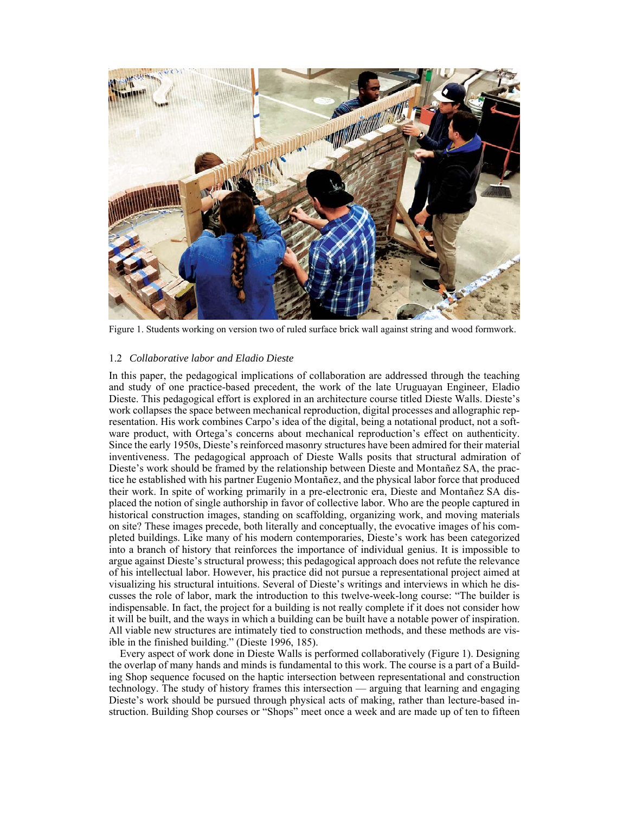

Figure 1. Students working on version two of ruled surface brick wall against string and wood formwork.

## 1.2 *Collaborative labor and Eladio Dieste*

In this paper, the pedagogical implications of collaboration are addressed through the teaching and study of one practice-based precedent, the work of the late Uruguayan Engineer, Eladio Dieste. This pedagogical effort is explored in an architecture course titled Dieste Walls. Dieste's work collapses the space between mechanical reproduction, digital processes and allographic representation. His work combines Carpo's idea of the digital, being a notational product, not a software product, with Ortega's concerns about mechanical reproduction's effect on authenticity. Since the early 1950s, Dieste's reinforced masonry structures have been admired for their material inventiveness. The pedagogical approach of Dieste Walls posits that structural admiration of Dieste's work should be framed by the relationship between Dieste and Montañez SA, the practice he established with his partner Eugenio Montañez, and the physical labor force that produced their work. In spite of working primarily in a pre-electronic era, Dieste and Montañez SA displaced the notion of single authorship in favor of collective labor. Who are the people captured in historical construction images, standing on scaffolding, organizing work, and moving materials on site? These images precede, both literally and conceptually, the evocative images of his completed buildings. Like many of his modern contemporaries, Dieste's work has been categorized into a branch of history that reinforces the importance of individual genius. It is impossible to argue against Dieste's structural prowess; this pedagogical approach does not refute the relevance of his intellectual labor. However, his practice did not pursue a representational project aimed at visualizing his structural intuitions. Several of Dieste's writings and interviews in which he discusses the role of labor, mark the introduction to this twelve-week-long course: "The builder is indispensable. In fact, the project for a building is not really complete if it does not consider how it will be built, and the ways in which a building can be built have a notable power of inspiration. All viable new structures are intimately tied to construction methods, and these methods are visible in the finished building." (Dieste 1996, 185).

Every aspect of work done in Dieste Walls is performed collaboratively (Figure 1). Designing the overlap of many hands and minds is fundamental to this work. The course is a part of a Building Shop sequence focused on the haptic intersection between representational and construction technology. The study of history frames this intersection — arguing that learning and engaging Dieste's work should be pursued through physical acts of making, rather than lecture-based instruction. Building Shop courses or "Shops" meet once a week and are made up of ten to fifteen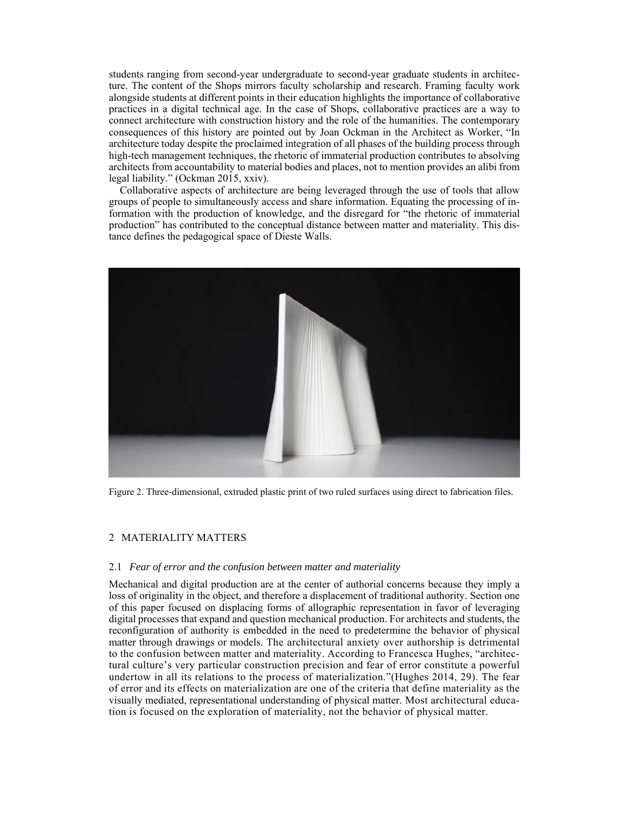students ranging from second-year undergraduate to second-year graduate students in architecture. The content of the Shops mirrors faculty scholarship and research. Framing faculty work alongside students at different points in their education highlights the importance of collaborative practices in a digital technical age. In the case of Shops, collaborative practices are a way to connect architecture with construction history and the role of the humanities. The contemporary consequences of this history are pointed out by Joan Ockman in the Architect as Worker, "In architecture today despite the proclaimed integration of all phases of the building process through high-tech management techniques, the rhetoric of immaterial production contributes to absolving architects from accountability to material bodies and places, not to mention provides an alibi from legal liability." (Ockman 2015, xxiv).

Collaborative aspects of architecture are being leveraged through the use of tools that allow groups of people to simultaneously access and share information. Equating the processing of information with the production of knowledge, and the disregard for "the rhetoric of immaterial production" has contributed to the conceptual distance between matter and materiality. This distance defines the pedagogical space of Dieste Walls.



Figure 2. Three-dimensional, extruded plastic print of two ruled surfaces using direct to fabrication files.

## 2 MATERIALITY MATTERS

## 2.1 *Fear of error and the confusion between matter and materiality*

Mechanical and digital production are at the center of authorial concerns because they imply a loss of originality in the object, and therefore a displacement of traditional authority. Section one of this paper focused on displacing forms of allographic representation in favor of leveraging digital processes that expand and question mechanical production. For architects and students, the reconfiguration of authority is embedded in the need to predetermine the behavior of physical matter through drawings or models. The architectural anxiety over authorship is detrimental to the confusion between matter and materiality. According to Francesca Hughes, "architectural culture's very particular construction precision and fear of error constitute a powerful undertow in all its relations to the process of materialization."(Hughes 2014, 29). The fear of error and its effects on materialization are one of the criteria that define materiality as the visually mediated, representational understanding of physical matter. Most architectural education is focused on the exploration of materiality, not the behavior of physical matter.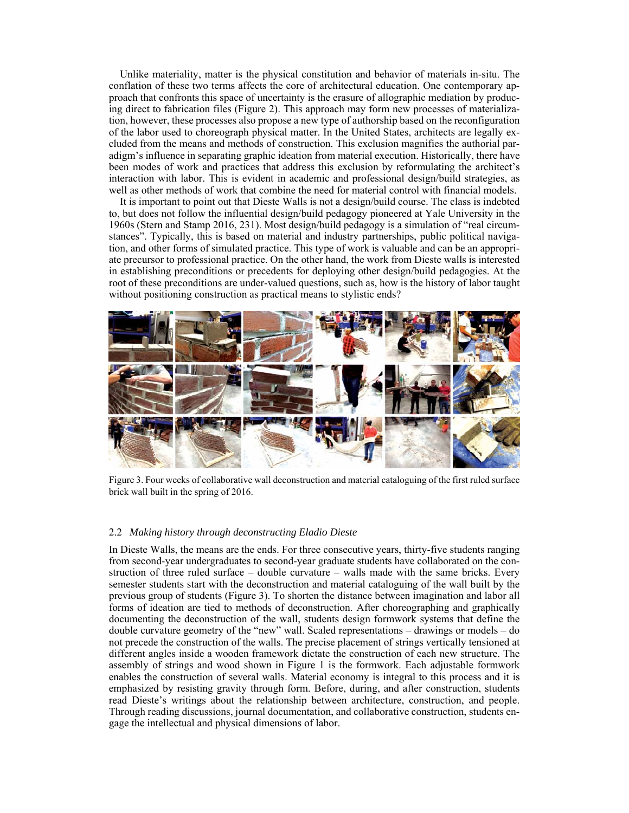Unlike materiality, matter is the physical constitution and behavior of materials in-situ. The conflation of these two terms affects the core of architectural education. One contemporary approach that confronts this space of uncertainty is the erasure of allographic mediation by producing direct to fabrication files (Figure 2). This approach may form new processes of materialization, however, these processes also propose a new type of authorship based on the reconfiguration of the labor used to choreograph physical matter. In the United States, architects are legally excluded from the means and methods of construction. This exclusion magnifies the authorial paradigm's influence in separating graphic ideation from material execution. Historically, there have been modes of work and practices that address this exclusion by reformulating the architect's interaction with labor. This is evident in academic and professional design/build strategies, as well as other methods of work that combine the need for material control with financial models.

It is important to point out that Dieste Walls is not a design/build course. The class is indebted to, but does not follow the influential design/build pedagogy pioneered at Yale University in the 1960s (Stern and Stamp 2016, 231). Most design/build pedagogy is a simulation of "real circumstances". Typically, this is based on material and industry partnerships, public political navigation, and other forms of simulated practice. This type of work is valuable and can be an appropriate precursor to professional practice. On the other hand, the work from Dieste walls is interested in establishing preconditions or precedents for deploying other design/build pedagogies. At the root of these preconditions are under-valued questions, such as, how is the history of labor taught without positioning construction as practical means to stylistic ends?



Figure 3. Four weeks of collaborative wall deconstruction and material cataloguing of the first ruled surface brick wall built in the spring of 2016.

#### 2.2 *Making history through deconstructing Eladio Dieste*

In Dieste Walls, the means are the ends. For three consecutive years, thirty-five students ranging from second-year undergraduates to second-year graduate students have collaborated on the construction of three ruled surface – double curvature – walls made with the same bricks. Every semester students start with the deconstruction and material cataloguing of the wall built by the previous group of students (Figure 3). To shorten the distance between imagination and labor all forms of ideation are tied to methods of deconstruction. After choreographing and graphically documenting the deconstruction of the wall, students design formwork systems that define the double curvature geometry of the "new" wall. Scaled representations – drawings or models – do not precede the construction of the walls. The precise placement of strings vertically tensioned at different angles inside a wooden framework dictate the construction of each new structure. The assembly of strings and wood shown in Figure 1 is the formwork. Each adjustable formwork enables the construction of several walls. Material economy is integral to this process and it is emphasized by resisting gravity through form. Before, during, and after construction, students read Dieste's writings about the relationship between architecture, construction, and people. Through reading discussions, journal documentation, and collaborative construction, students engage the intellectual and physical dimensions of labor.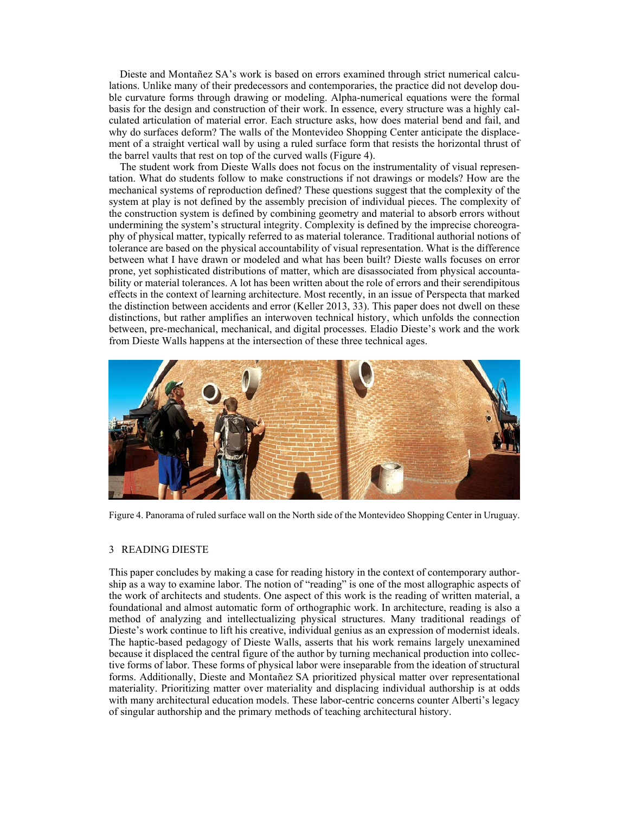Dieste and Montañez SA's work is based on errors examined through strict numerical calculations. Unlike many of their predecessors and contemporaries, the practice did not develop double curvature forms through drawing or modeling. Alpha-numerical equations were the formal basis for the design and construction of their work. In essence, every structure was a highly calculated articulation of material error. Each structure asks, how does material bend and fail, and why do surfaces deform? The walls of the Montevideo Shopping Center anticipate the displacement of a straight vertical wall by using a ruled surface form that resists the horizontal thrust of the barrel vaults that rest on top of the curved walls (Figure 4).

The student work from Dieste Walls does not focus on the instrumentality of visual representation. What do students follow to make constructions if not drawings or models? How are the mechanical systems of reproduction defined? These questions suggest that the complexity of the system at play is not defined by the assembly precision of individual pieces. The complexity of the construction system is defined by combining geometry and material to absorb errors without undermining the system's structural integrity. Complexity is defined by the imprecise choreography of physical matter, typically referred to as material tolerance. Traditional authorial notions of tolerance are based on the physical accountability of visual representation. What is the difference between what I have drawn or modeled and what has been built? Dieste walls focuses on error prone, yet sophisticated distributions of matter, which are disassociated from physical accountability or material tolerances. A lot has been written about the role of errors and their serendipitous effects in the context of learning architecture. Most recently, in an issue of Perspecta that marked the distinction between accidents and error (Keller 2013, 33). This paper does not dwell on these distinctions, but rather amplifies an interwoven technical history, which unfolds the connection between, pre-mechanical, mechanical, and digital processes. Eladio Dieste's work and the work from Dieste Walls happens at the intersection of these three technical ages.



Figure 4. Panorama of ruled surface wall on the North side of the Montevideo Shopping Center in Uruguay.

## 3 READING DIESTE

This paper concludes by making a case for reading history in the context of contemporary authorship as a way to examine labor. The notion of "reading" is one of the most allographic aspects of the work of architects and students. One aspect of this work is the reading of written material, a foundational and almost automatic form of orthographic work. In architecture, reading is also a method of analyzing and intellectualizing physical structures. Many traditional readings of Dieste's work continue to lift his creative, individual genius as an expression of modernist ideals. The haptic-based pedagogy of Dieste Walls, asserts that his work remains largely unexamined because it displaced the central figure of the author by turning mechanical production into collective forms of labor. These forms of physical labor were inseparable from the ideation of structural forms. Additionally, Dieste and Montañez SA prioritized physical matter over representational materiality. Prioritizing matter over materiality and displacing individual authorship is at odds with many architectural education models. These labor-centric concerns counter Alberti's legacy of singular authorship and the primary methods of teaching architectural history.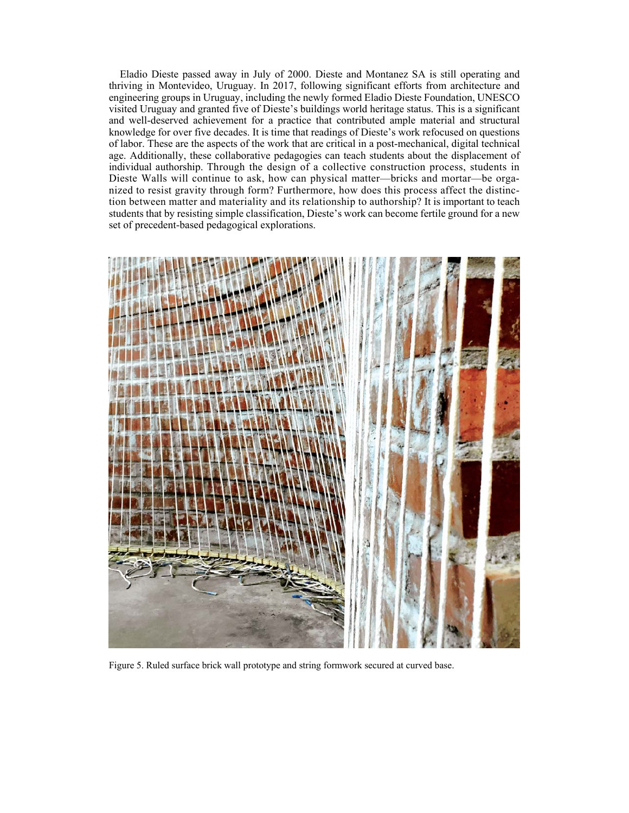Eladio Dieste passed away in July of 2000. Dieste and Montanez SA is still operating and thriving in Montevideo, Uruguay. In 2017, following significant efforts from architecture and engineering groups in Uruguay, including the newly formed Eladio Dieste Foundation, UNESCO visited Uruguay and granted five of Dieste's buildings world heritage status. This is a significant and well-deserved achievement for a practice that contributed ample material and structural knowledge for over five decades. It is time that readings of Dieste's work refocused on questions of labor. These are the aspects of the work that are critical in a post-mechanical, digital technical age. Additionally, these collaborative pedagogies can teach students about the displacement of individual authorship. Through the design of a collective construction process, students in Dieste Walls will continue to ask, how can physical matter—bricks and mortar—be organized to resist gravity through form? Furthermore, how does this process affect the distinction between matter and materiality and its relationship to authorship? It is important to teach students that by resisting simple classification, Dieste's work can become fertile ground for a new set of precedent-based pedagogical explorations.



Figure 5. Ruled surface brick wall prototype and string formwork secured at curved base.